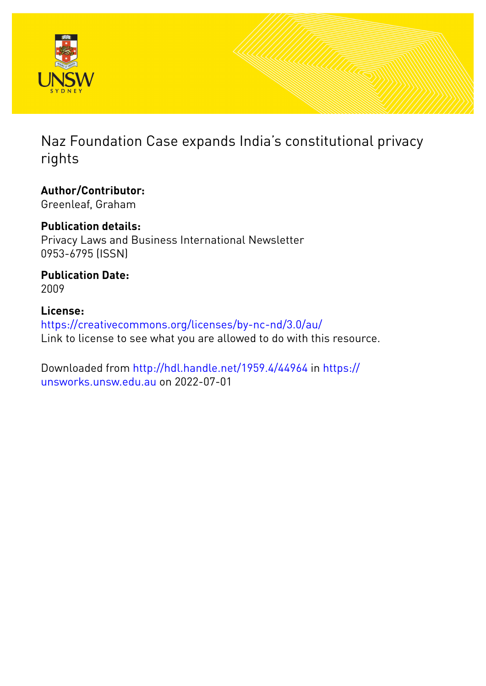

Naz Foundation Case expands India's constitutional privacy rights

**Author/Contributor:** Greenleaf, Graham

**Publication details:** Privacy Laws and Business International Newsletter 0953-6795 (ISSN)

**Publication Date:** 2009

**License:** <https://creativecommons.org/licenses/by-nc-nd/3.0/au/> Link to license to see what you are allowed to do with this resource.

Downloaded from <http://hdl.handle.net/1959.4/44964> in [https://](https://unsworks.unsw.edu.au) [unsworks.unsw.edu.au](https://unsworks.unsw.edu.au) on 2022-07-01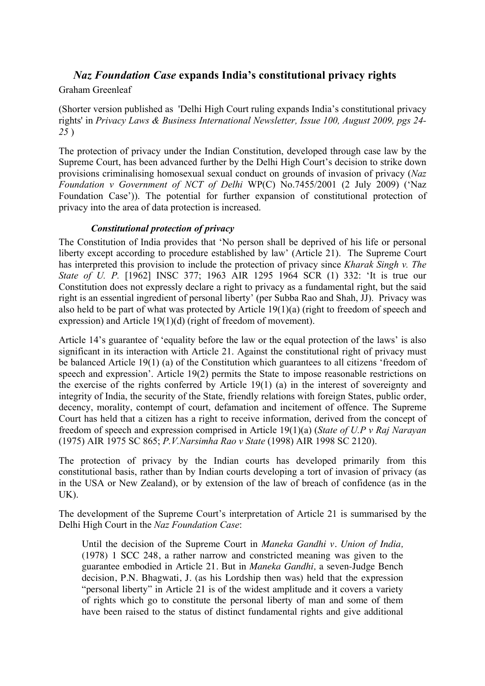# *Naz Foundation Case* **expands India's constitutional privacy rights**

### Graham Greenleaf

(Shorter version published as 'Delhi High Court ruling expands India's constitutional privacy rights' in *Privacy Laws & Business International Newsletter, Issue 100, August 2009, pgs 24- 25* )

The protection of privacy under the Indian Constitution, developed through case law by the Supreme Court, has been advanced further by the Delhi High Court's decision to strike down provisions criminalising homosexual sexual conduct on grounds of invasion of privacy (*Naz Foundation v Government of NCT of Delhi* WP(C) No.7455/2001 (2 July 2009) ('Naz Foundation Case')). The potential for further expansion of constitutional protection of privacy into the area of data protection is increased.

## *Constitutional protection of privacy*

The Constitution of India provides that 'No person shall be deprived of his life or personal liberty except according to procedure established by law' (Article 21). The Supreme Court has interpreted this provision to include the protection of privacy since *Kharak Singh v. The State of U. P.* [1962] INSC 377; 1963 AIR 1295 1964 SCR (1) 332: 'It is true our Constitution does not expressly declare a right to privacy as a fundamental right, but the said right is an essential ingredient of personal liberty' (per Subba Rao and Shah, JJ). Privacy was also held to be part of what was protected by Article 19(1)(a) (right to freedom of speech and expression) and Article 19(1)(d) (right of freedom of movement).

Article 14's guarantee of 'equality before the law or the equal protection of the laws' is also significant in its interaction with Article 21. Against the constitutional right of privacy must be balanced Article 19(1) (a) of the Constitution which guarantees to all citizens 'freedom of speech and expression'. Article 19(2) permits the State to impose reasonable restrictions on the exercise of the rights conferred by Article 19(1) (a) in the interest of sovereignty and integrity of India, the security of the State, friendly relations with foreign States, public order, decency, morality, contempt of court, defamation and incitement of offence. The Supreme Court has held that a citizen has a right to receive information, derived from the concept of freedom of speech and expression comprised in Article 19(1)(a) (*State of U.P v Raj Narayan* (1975) AIR 1975 SC 865; *P.V.Narsimha Rao v State* (1998) AIR 1998 SC 2120).

The protection of privacy by the Indian courts has developed primarily from this constitutional basis, rather than by Indian courts developing a tort of invasion of privacy (as in the USA or New Zealand), or by extension of the law of breach of confidence (as in the UK).

The development of the Supreme Court's interpretation of Article 21 is summarised by the Delhi High Court in the *Naz Foundation Case*:

Until the decision of the Supreme Court in *Maneka Gandhi v. Union of India,*  (1978) 1 SCC 248, a rather narrow and constricted meaning was given to the guarantee embodied in Article 21. But in *Maneka Gandhi,* a seven-Judge Bench decision, P.N. Bhagwati, J. (as his Lordship then was) held that the expression "personal liberty" in Article 21 is of the widest amplitude and it covers a variety of rights which go to constitute the personal liberty of man and some of them have been raised to the status of distinct fundamental rights and give additional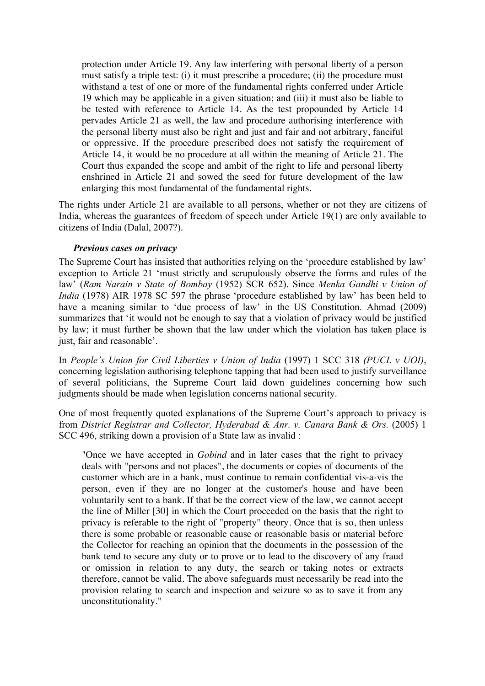protection under Article 19. Any law interfering with personal liberty of a person must satisfy a triple test: (i) it must prescribe a procedure; (ii) the procedure must withstand a test of one or more of the fundamental rights conferred under Article 19 which may be applicable in a given situation; and (iii) it must also be liable to be tested with reference to Article 14. As the test propounded by Article 14 pervades Article 21 as well, the law and procedure authorising interference with the personal liberty must also be right and just and fair and not arbitrary, fanciful or oppressive. If the procedure prescribed does not satisfy the requirement of Article 14, it would be no procedure at all within the meaning of Article 21. The Court thus expanded the scope and ambit of the right to life and personal liberty enshrined in Article 21 and sowed the seed for future development of the law enlarging this most fundamental of the fundamental rights.

The rights under Article 21 are available to all persons, whether or not they are citizens of India, whereas the guarantees of freedom of speech under Article 19(1) are only available to citizens of India (Dalal, 2007?).

#### *Previous cases on privacy*

The Supreme Court has insisted that authorities relying on the 'procedure established by law' exception to Article 21 'must strictly and scrupulously observe the forms and rules of the law' (*Ram Narain v State of Bombay* (1952) SCR 652). Since *Menka Gandhi v Union of India* (1978) AIR 1978 SC 597 the phrase 'procedure established by law' has been held to have a meaning similar to 'due process of law' in the US Constitution. Ahmad (2009) summarizes that 'it would not be enough to say that a violation of privacy would be justified by law; it must further be shown that the law under which the violation has taken place is just, fair and reasonable'.

In *People's Union for Civil Liberties v Union of India* (1997) 1 SCC 318 *(PUCL v UOI)*, concerning legislation authorising telephone tapping that had been used to justify surveillance of several politicians, the Supreme Court laid down guidelines concerning how such judgments should be made when legislation concerns national security.

One of most frequently quoted explanations of the Supreme Court's approach to privacy is from *District Registrar and Collector, Hyderabad & Anr. v. Canara Bank & Ors.* (2005) 1 SCC 496, striking down a provision of a State law as invalid :

"Once we have accepted in *Gobind* and in later cases that the right to privacy deals with "persons and not places", the documents or copies of documents of the customer which are in a bank, must continue to remain confidential vis-a-vis the person, even if they are no longer at the customer's house and have been voluntarily sent to a bank. If that be the correct view of the law, we cannot accept the line of Miller [30] in which the Court proceeded on the basis that the right to privacy is referable to the right of "property" theory. Once that is so, then unless there is some probable or reasonable cause or reasonable basis or material before the Collector for reaching an opinion that the documents in the possession of the bank tend to secure any duty or to prove or to lead to the discovery of any fraud or omission in relation to any duty, the search or taking notes or extracts therefore, cannot be valid. The above safeguards must necessarily be read into the provision relating to search and inspection and seizure so as to save it from any unconstitutionality."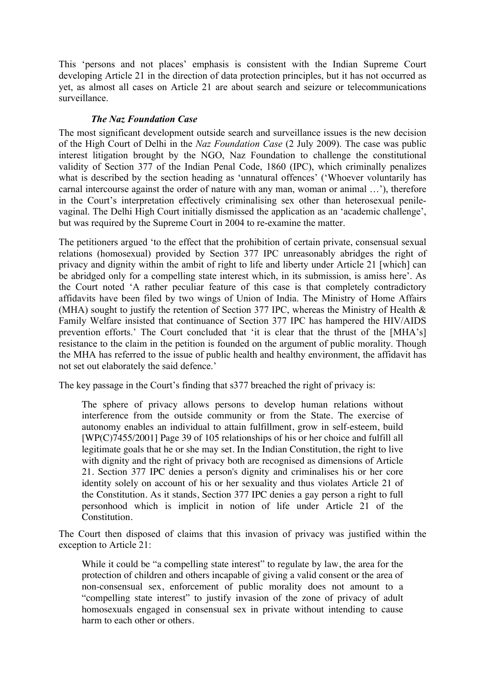This 'persons and not places' emphasis is consistent with the Indian Supreme Court developing Article 21 in the direction of data protection principles, but it has not occurred as yet, as almost all cases on Article 21 are about search and seizure or telecommunications surveillance.

## *The Naz Foundation Case*

The most significant development outside search and surveillance issues is the new decision of the High Court of Delhi in the *Naz Foundation Case* (2 July 2009). The case was public interest litigation brought by the NGO, Naz Foundation to challenge the constitutional validity of Section 377 of the Indian Penal Code, 1860 (IPC), which criminally penalizes what is described by the section heading as 'unnatural offences' ('Whoever voluntarily has carnal intercourse against the order of nature with any man, woman or animal …'), therefore in the Court's interpretation effectively criminalising sex other than heterosexual penilevaginal. The Delhi High Court initially dismissed the application as an 'academic challenge', but was required by the Supreme Court in 2004 to re-examine the matter.

The petitioners argued 'to the effect that the prohibition of certain private, consensual sexual relations (homosexual) provided by Section 377 IPC unreasonably abridges the right of privacy and dignity within the ambit of right to life and liberty under Article 21 [which] can be abridged only for a compelling state interest which, in its submission, is amiss here'. As the Court noted 'A rather peculiar feature of this case is that completely contradictory affidavits have been filed by two wings of Union of India. The Ministry of Home Affairs (MHA) sought to justify the retention of Section 377 IPC, whereas the Ministry of Health & Family Welfare insisted that continuance of Section 377 IPC has hampered the HIV/AIDS prevention efforts.' The Court concluded that 'it is clear that the thrust of the [MHA's] resistance to the claim in the petition is founded on the argument of public morality. Though the MHA has referred to the issue of public health and healthy environment, the affidavit has not set out elaborately the said defence.'

The key passage in the Court's finding that s377 breached the right of privacy is:

The sphere of privacy allows persons to develop human relations without interference from the outside community or from the State. The exercise of autonomy enables an individual to attain fulfillment, grow in self-esteem, build [WP(C)7455/2001] Page 39 of 105 relationships of his or her choice and fulfill all legitimate goals that he or she may set. In the Indian Constitution, the right to live with dignity and the right of privacy both are recognised as dimensions of Article 21. Section 377 IPC denies a person's dignity and criminalises his or her core identity solely on account of his or her sexuality and thus violates Article 21 of the Constitution. As it stands, Section 377 IPC denies a gay person a right to full personhood which is implicit in notion of life under Article 21 of the Constitution.

The Court then disposed of claims that this invasion of privacy was justified within the exception to Article 21:

While it could be "a compelling state interest" to regulate by law, the area for the protection of children and others incapable of giving a valid consent or the area of non-consensual sex, enforcement of public morality does not amount to a "compelling state interest" to justify invasion of the zone of privacy of adult homosexuals engaged in consensual sex in private without intending to cause harm to each other or others.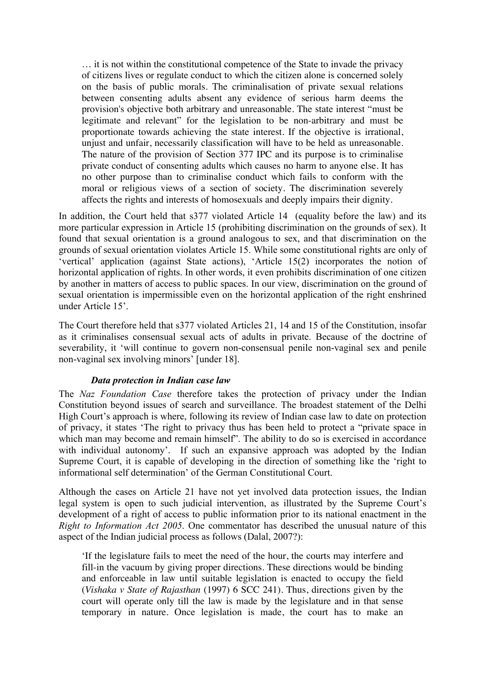… it is not within the constitutional competence of the State to invade the privacy of citizens lives or regulate conduct to which the citizen alone is concerned solely on the basis of public morals. The criminalisation of private sexual relations between consenting adults absent any evidence of serious harm deems the provision's objective both arbitrary and unreasonable. The state interest "must be legitimate and relevant" for the legislation to be non-arbitrary and must be proportionate towards achieving the state interest. If the objective is irrational, unjust and unfair, necessarily classification will have to be held as unreasonable. The nature of the provision of Section 377 IPC and its purpose is to criminalise private conduct of consenting adults which causes no harm to anyone else. It has no other purpose than to criminalise conduct which fails to conform with the moral or religious views of a section of society. The discrimination severely affects the rights and interests of homosexuals and deeply impairs their dignity.

In addition, the Court held that s377 violated Article 14 (equality before the law) and its more particular expression in Article 15 (prohibiting discrimination on the grounds of sex). It found that sexual orientation is a ground analogous to sex, and that discrimination on the grounds of sexual orientation violates Article 15. While some constitutional rights are only of 'vertical' application (against State actions), 'Article 15(2) incorporates the notion of horizontal application of rights. In other words, it even prohibits discrimination of one citizen by another in matters of access to public spaces. In our view, discrimination on the ground of sexual orientation is impermissible even on the horizontal application of the right enshrined under Article 15'.

The Court therefore held that s377 violated Articles 21, 14 and 15 of the Constitution, insofar as it criminalises consensual sexual acts of adults in private. Because of the doctrine of severability, it 'will continue to govern non-consensual penile non-vaginal sex and penile non-vaginal sex involving minors' [under 18].

#### *Data protection in Indian case law*

The *Naz Foundation Case* therefore takes the protection of privacy under the Indian Constitution beyond issues of search and surveillance. The broadest statement of the Delhi High Court's approach is where, following its review of Indian case law to date on protection of privacy, it states 'The right to privacy thus has been held to protect a "private space in which man may become and remain himself". The ability to do so is exercised in accordance with individual autonomy'. If such an expansive approach was adopted by the Indian Supreme Court, it is capable of developing in the direction of something like the 'right to informational self determination' of the German Constitutional Court.

Although the cases on Article 21 have not yet involved data protection issues, the Indian legal system is open to such judicial intervention, as illustrated by the Supreme Court's development of a right of access to public information prior to its national enactment in the *Right to Information Act 2005*. One commentator has described the unusual nature of this aspect of the Indian judicial process as follows (Dalal, 2007?):

'If the legislature fails to meet the need of the hour, the courts may interfere and fill-in the vacuum by giving proper directions. These directions would be binding and enforceable in law until suitable legislation is enacted to occupy the field (*Vishaka v State of Rajasthan* (1997) 6 SCC 241). Thus, directions given by the court will operate only till the law is made by the legislature and in that sense temporary in nature. Once legislation is made, the court has to make an